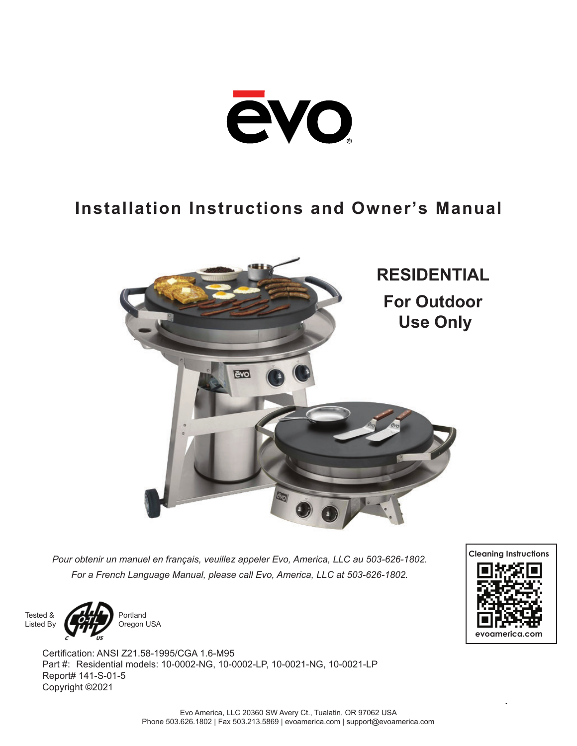

# **Installation Instructions and Owner's Manual**



*Pour obtenir un manuel en français, veuillez appeler Evo, America, LLC au 503-626-1802. For a French Language Manual, please call Evo, America, LLC at 503-626-1802.*





Portland Oregon USA

Certification: ANSI Z21.58-1995/CGA 1.6-M95 Part #: Residential models: 10-0002-NG, 10-0002-LP, 10-0021-NG, 10-0021-LP Report# 141-S-01-5 Copyright ©2021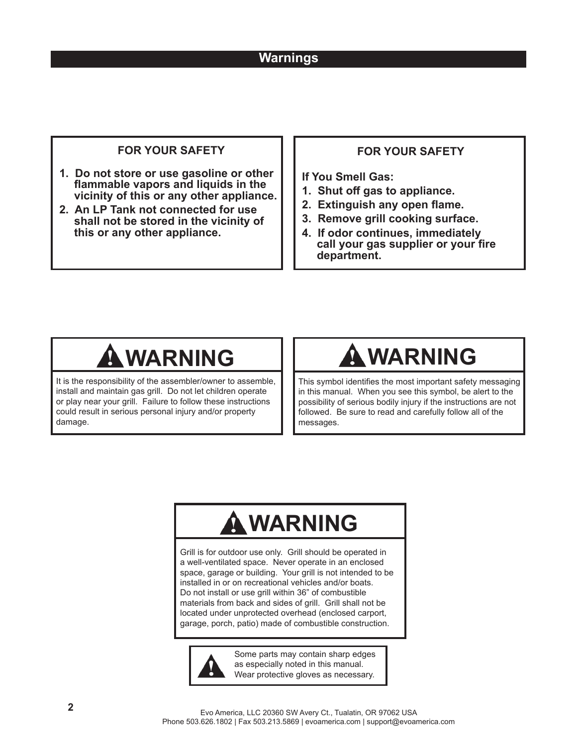# **Warnings**

### **FOR YOUR SAFETY**

- **1. Do not store or use gasoline or other fl ammable vapors and liquids in the vicinity of this or any other appliance.**
- **2. An LP Tank not connected for use shall not be stored in the vicinity of this or any other appliance.**

### **FOR YOUR SAFETY**

**If You Smell Gas:**

- **1. Shut off gas to appliance.**
- **2. Extinguish any open flame.**
- **3. Remove grill cooking surface.**
- **4. If odor continues, immediately**  call your gas supplier or your fire **department.**

It is the responsibility of the assembler/owner to assemble, install and maintain gas grill. Do not let children operate or play near your grill. Failure to follow these instructions could result in serious personal injury and/or property damage.

# **WARNING WARNING**

This symbol identifies the most important safety messaging in this manual. When you see this symbol, be alert to the possibility of serious bodily injury if the instructions are not followed. Be sure to read and carefully follow all of the messages.

# **WARNING**

Grill is for outdoor use only. Grill should be operated in a well-ventilated space. Never operate in an enclosed space, garage or building. Your grill is not intended to be installed in or on recreational vehicles and/or boats. Do not install or use grill within 36" of combustible materials from back and sides of grill. Grill shall not be located under unprotected overhead (enclosed carport, garage, porch, patio) made of combustible construction.



Some parts may contain sharp edges as especially noted in this manual. Wear protective gloves as necessary.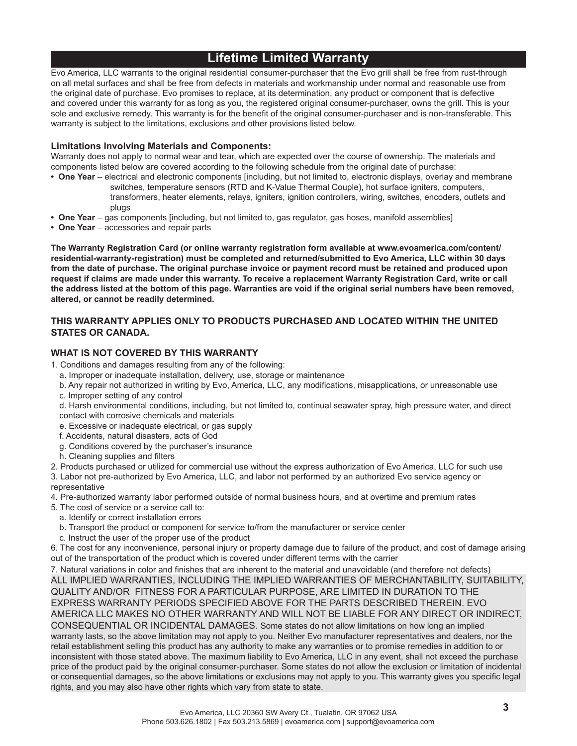# **Lifetime Limited Warranty**

Evo America, LLC warrants to the original residential consumer-purchaser that the Evo grill shall be free from rust-through on all metal surfaces and shall be free from defects in materials and workmanship under normal and reasonable use from the original date of purchase. Evo promises to replace, at its determination, any product or component that is defective and covered under this warranty for as long as you, the registered original consumer-purchaser, owns the grill. This is your sole and exclusive remedy. This warranty is for the benefit of the original consumer-purchaser and is non-transferable. This warranty is subject to the limitations, exclusions and other provisions listed below.

### **Limitations Involving Materials and Components:**

Warranty does not apply to normal wear and tear, which are expected over the course of ownership. The materials and components listed below are covered according to the following schedule from the original date of purchase:

- **One Year** electrical and electronic components [including, but not limited to, electronic displays, overlay and membrane switches, temperature sensors (RTD and K-Value Thermal Couple), hot surface igniters, computers, transformers, heater elements, relays, igniters, ignition controllers, wiring, switches, encoders, outlets and plugs
- **One Year** gas components [including, but not limited to, gas regulator, gas hoses, manifold assemblies]
- **One Year**  accessories and repair parts

**The Warranty Registration Card (or online warranty registration form available at www.evoamerica.com/content/ residential-warranty-registration) must be completed and returned/submitted to Evo America, LLC within 30 days from the date of purchase. The original purchase invoice or payment record must be retained and produced upon request if claims are made under this warranty. To receive a replacement Warranty Registration Card, write or call the address listed at the bottom of this page. Warranties are void if the original serial numbers have been removed, altered, or cannot be readily determined.** 

### **THIS WARRANTY APPLIES ONLY TO PRODUCTS PURCHASED AND LOCATED WITHIN THE UNITED STATES OR CANADA.**

### **WHAT IS NOT COVERED BY THIS WARRANTY**

- 1. Conditions and damages resulting from any of the following:
	- a. Improper or inadequate installation, delivery, use, storage or maintenance
	- b. Any repair not authorized in writing by Evo, America, LLC, any modifications, misapplications, or unreasonable use c. Improper setting of any control
	- d. Harsh environmental conditions, including, but not limited to, continual seawater spray, high pressure water, and direct contact with corrosive chemicals and materials
	- e. Excessive or inadequate electrical, or gas supply
	- f. Accidents, natural disasters, acts of God
	- g. Conditions covered by the purchaser's insurance
	- h. Cleaning supplies and filters
- 2. Products purchased or utilized for commercial use without the express authorization of Evo America, LLC for such use

3. Labor not pre-authorized by Evo America, LLC, and labor not performed by an authorized Evo service agency or representative

- 4. Pre-authorized warranty labor performed outside of normal business hours, and at overtime and premium rates
- 5. The cost of service or a service call to:
- a. Identify or correct installation errors
- b. Transport the product or component for service to/from the manufacturer or service center
- c. Instruct the user of the proper use of the product

6. The cost for any inconvenience, personal injury or property damage due to failure of the product, and cost of damage arising out of the transportation of the product which is covered under different terms with the carrier

7. Natural variations in color and finishes that are inherent to the material and unavoidable (and therefore not defects) ALL IMPLIED WARRANTIES, INCLUDING THE IMPLIED WARRANTIES OF MERCHANTABILITY, SUITABILITY, QUALITY AND/OR FITNESS FOR A PARTICULAR PURPOSE, ARE LIMITED IN DURATION TO THE EXPRESS WARRANTY PERIODS SPECIFIED ABOVE FOR THE PARTS DESCRIBED THEREIN. EVO AMERICA LLC MAKES NO OTHER WARRANTY AND WILL NOT BE LIABLE FOR ANY DIRECT OR INDIRECT, CONSEQUENTIAL OR INCIDENTAL DAMAGES. Some states do not allow limitations on how long an implied warranty lasts, so the above limitation may not apply to you. Neither Evo manufacturer representatives and dealers, nor the retail establishment selling this product has any authority to make any warranties or to promise remedies in addition to or inconsistent with those stated above. The maximum liability to Evo America, LLC in any event, shall not exceed the purchase price of the product paid by the original consumer-purchaser. Some states do not allow the exclusion or limitation of incidental or consequential damages, so the above limitations or exclusions may not apply to you. This warranty gives you specific legal rights, and you may also have other rights which vary from state to state.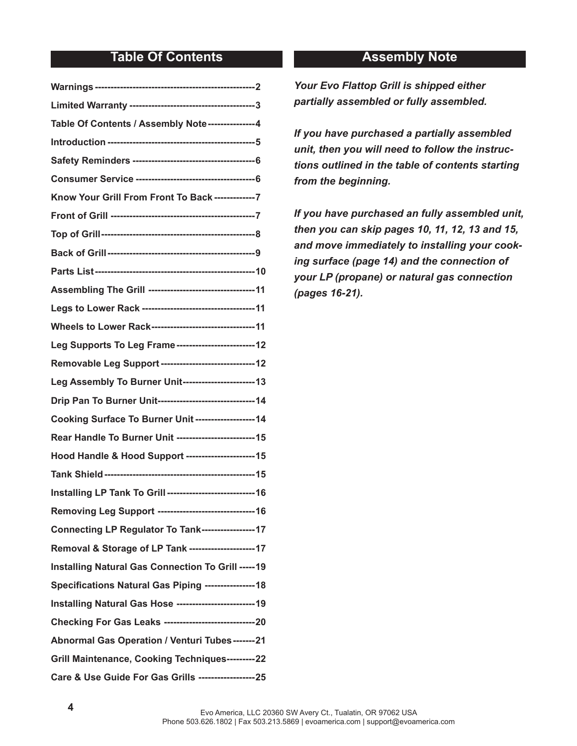# **Table Of Contents Assembly Note**

| Table Of Contents / Assembly Note---------------4                 |  |
|-------------------------------------------------------------------|--|
|                                                                   |  |
|                                                                   |  |
|                                                                   |  |
| Know Your Grill From Front To Back --------------7                |  |
|                                                                   |  |
|                                                                   |  |
|                                                                   |  |
|                                                                   |  |
| Assembling The Grill ----------------------------------11         |  |
|                                                                   |  |
| Wheels to Lower Rack---------------------------------11           |  |
| Leg Supports To Leg Frame -------------------------12             |  |
| Removable Leg Support ------------------------------12            |  |
| Leg Assembly To Burner Unit-----------------------13              |  |
| Drip Pan To Burner Unit------------------------------- 14         |  |
| Cooking Surface To Burner Unit -------------------14              |  |
| Rear Handle To Burner Unit -------------------------- 15          |  |
| Hood Handle & Hood Support ----------------------15               |  |
|                                                                   |  |
| <b>Installing LP Tank To Grill ----------------------------16</b> |  |
|                                                                   |  |
| Connecting LP Regulator To Tank-----------------17                |  |
| Removal & Storage of LP Tank ---------------------17              |  |
| <b>Installing Natural Gas Connection To Grill -----19</b>         |  |
| Specifications Natural Gas Piping ----------------18              |  |
| <b>Installing Natural Gas Hose ------------------------19</b>     |  |
| Checking For Gas Leaks ----------------------------------20       |  |
| Abnormal Gas Operation / Venturi Tubes -------21                  |  |
| Grill Maintenance, Cooking Techniques---------22                  |  |
| Care & Use Guide For Gas Grills -------------------25             |  |

*Your Evo Flattop Grill is shipped either partially assembled or fully assembled.*

*If you have purchased a partially assembled unit, then you will need to follow the instructions outlined in the table of contents starting from the beginning.*

*If you have purchased an fully assembled unit, then you can skip pages 10, 11, 12, 13 and 15, and move immediately to installing your cooking surface (page 14) and the connection of your LP (propane) or natural gas connection (pages 16-21).*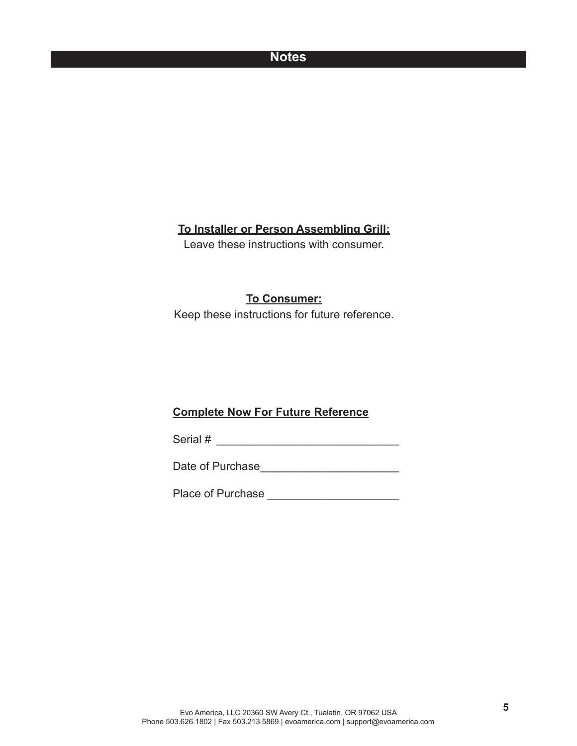### **Notes**

## **To Installer or Person Assembling Grill:**

Leave these instructions with consumer.

### **To Consumer:**

Keep these instructions for future reference.

### **Complete Now For Future Reference**

Serial # \_\_\_\_\_\_\_\_\_\_\_\_\_\_\_\_\_\_\_\_\_\_\_\_\_\_\_\_\_

Date of Purchase \_\_\_\_\_\_\_\_\_\_\_\_\_\_\_\_\_\_\_\_\_\_

Place of Purchase \_\_\_\_\_\_\_\_\_\_\_\_\_\_\_\_\_\_\_\_\_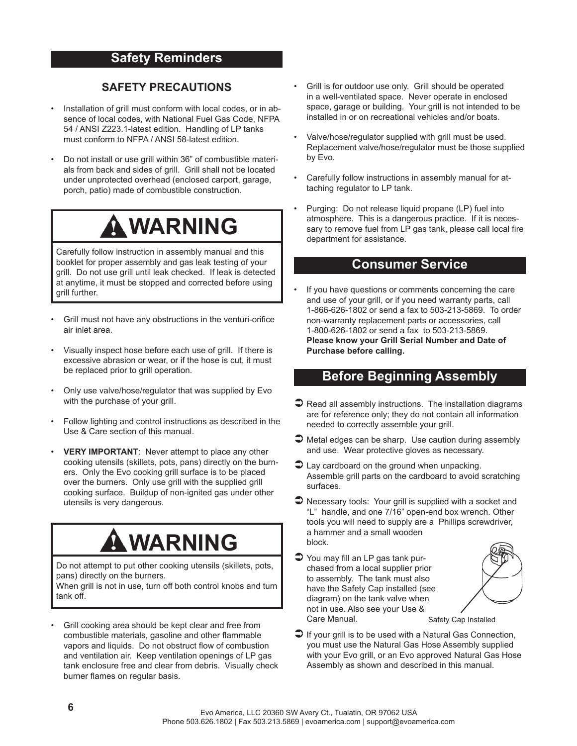# **Safety Reminders**

### **SAFETY PRECAUTIONS**

- Installation of grill must conform with local codes, or in absence of local codes, with National Fuel Gas Code, NFPA 54 / ANSI Z223.1-latest edition. Handling of LP tanks must conform to NFPA / ANSI 58-latest edition.
- Do not install or use grill within 36" of combustible materials from back and sides of grill. Grill shall not be located under unprotected overhead (enclosed carport, garage, porch, patio) made of combustible construction.

# **WARNING**

Carefully follow instruction in assembly manual and this booklet for proper assembly and gas leak testing of your grill. Do not use grill until leak checked. If leak is detected at anytime, it must be stopped and corrected before using grill further.

- Grill must not have any obstructions in the venturi-orifice air inlet area.
- Visually inspect hose before each use of grill. If there is excessive abrasion or wear, or if the hose is cut, it must be replaced prior to grill operation.
- Only use valve/hose/regulator that was supplied by Evo with the purchase of your grill.
- Follow lighting and control instructions as described in the Use & Care section of this manual.
- **VERY IMPORTANT**: Never attempt to place any other cooking utensils (skillets, pots, pans) directly on the burners. Only the Evo cooking grill surface is to be placed over the burners. Only use grill with the supplied grill cooking surface. Buildup of non-ignited gas under other utensils is very dangerous.

# **WARNING**

Do not attempt to put other cooking utensils (skillets, pots, pans) directly on the burners.

When grill is not in use, turn off both control knobs and turn tank off.

Grill cooking area should be kept clear and free from combustible materials, gasoline and other flammable vapors and liquids. Do not obstruct flow of combustion and ventilation air. Keep ventilation openings of LP gas tank enclosure free and clear from debris. Visually check burner flames on regular basis.

- Grill is for outdoor use only. Grill should be operated in a well-ventilated space. Never operate in enclosed space, garage or building. Your grill is not intended to be installed in or on recreational vehicles and/or boats.
- Valve/hose/regulator supplied with grill must be used. Replacement valve/hose/regulator must be those supplied by Evo.
- Carefully follow instructions in assembly manual for attaching regulator to LP tank.
- Purging: Do not release liquid propane (LP) fuel into atmosphere. This is a dangerous practice. If it is necessary to remove fuel from LP gas tank, please call local fire department for assistance.

### **Consumer Service**

If you have questions or comments concerning the care and use of your grill, or if you need warranty parts, call 1-866-626-1802 or send a fax to 503-213-5869. To order non-warranty replacement parts or accessories, call 1-800-626-1802 or send a fax to 503-213-5869. **Please know your Grill Serial Number and Date of Purchase before calling.**

### **Before Beginning Assembly**

- $\bullet$  Read all assembly instructions. The installation diagrams are for reference only; they do not contain all information needed to correctly assemble your grill.
- $\supset$  Metal edges can be sharp. Use caution during assembly and use. Wear protective gloves as necessary.
- $\bullet$  Lay cardboard on the ground when unpacking. Assemble grill parts on the cardboard to avoid scratching surfaces.
- $\supset$  Necessary tools: Your grill is supplied with a socket and "L" handle, and one 7/16" open-end box wrench. Other tools you will need to supply are a Phillips screwdriver, a hammer and a small wooden block.
- $\bullet$  You may fill an LP gas tank purchased from a local supplier prior to assembly. The tank must also have the Safety Cap installed (see diagram) on the tank valve when not in use. Also see your Use & Care Manual.



Safety Cap Installed

 $\Box$  If your grill is to be used with a Natural Gas Connection, you must use the Natural Gas Hose Assembly supplied with your Evo grill, or an Evo approved Natural Gas Hose Assembly as shown and described in this manual.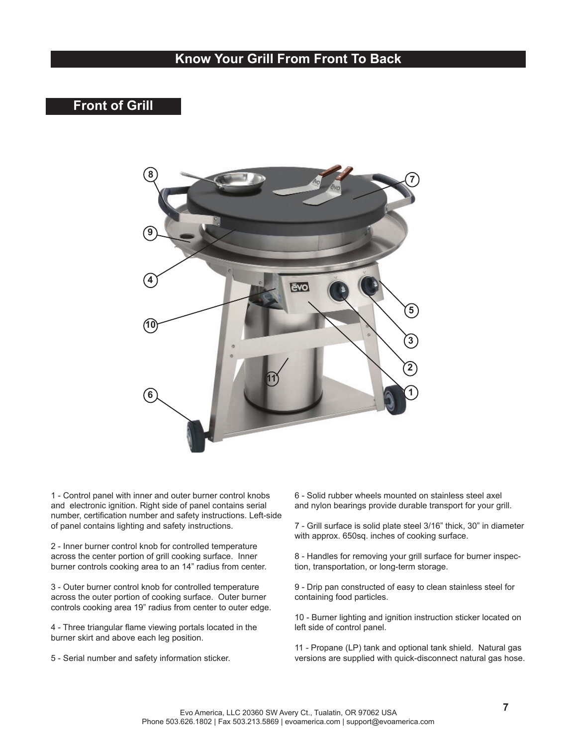# **Know Your Grill From Front To Back**

# **Front of Grill**



1 - Control panel with inner and outer burner control knobs and electronic ignition. Right side of panel contains serial number, certification number and safety instructions. Left-side of panel contains lighting and safety instructions.

2 - Inner burner control knob for controlled temperature across the center portion of grill cooking surface. Inner burner controls cooking area to an 14" radius from center.

3 - Outer burner control knob for controlled temperature across the outer portion of cooking surface. Outer burner controls cooking area 19" radius from center to outer edge.

4 - Three triangular flame viewing portals located in the burner skirt and above each leg position.

5 - Serial number and safety information sticker.

6 - Solid rubber wheels mounted on stainless steel axel and nylon bearings provide durable transport for your grill.

7 - Grill surface is solid plate steel 3/16" thick, 30" in diameter with approx. 650sq. inches of cooking surface.

8 - Handles for removing your grill surface for burner inspection, transportation, or long-term storage.

9 - Drip pan constructed of easy to clean stainless steel for containing food particles.

10 - Burner lighting and ignition instruction sticker located on left side of control panel.

11 - Propane (LP) tank and optional tank shield. Natural gas versions are supplied with quick-disconnect natural gas hose.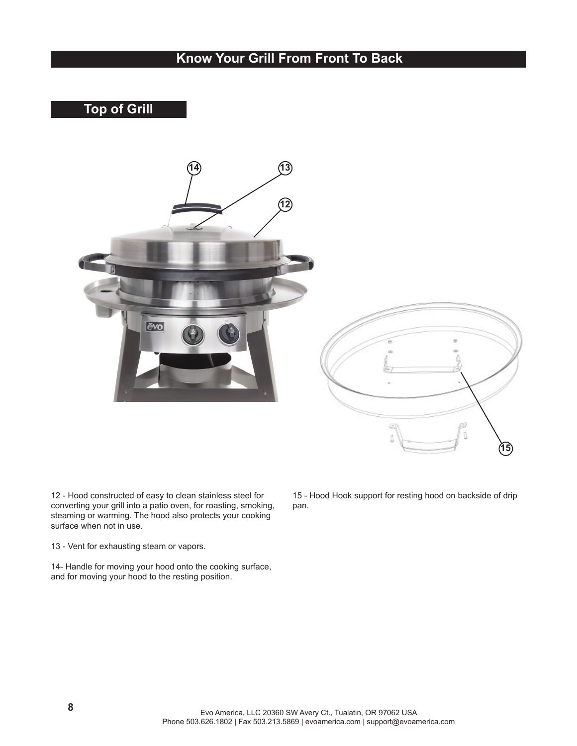# **Know Your Grill From Front To Back**

# **Top of Grill**



12 - Hood constructed of easy to clean stainless steel for converting your grill into a patio oven, for roasting, smoking, steaming or warming. The hood also protects your cooking surface when not in use.

13 - Vent for exhausting steam or vapors.

14- Handle for moving your hood onto the cooking surface, and for moving your hood to the resting position.

15 - Hood Hook support for resting hood on backside of drip pan.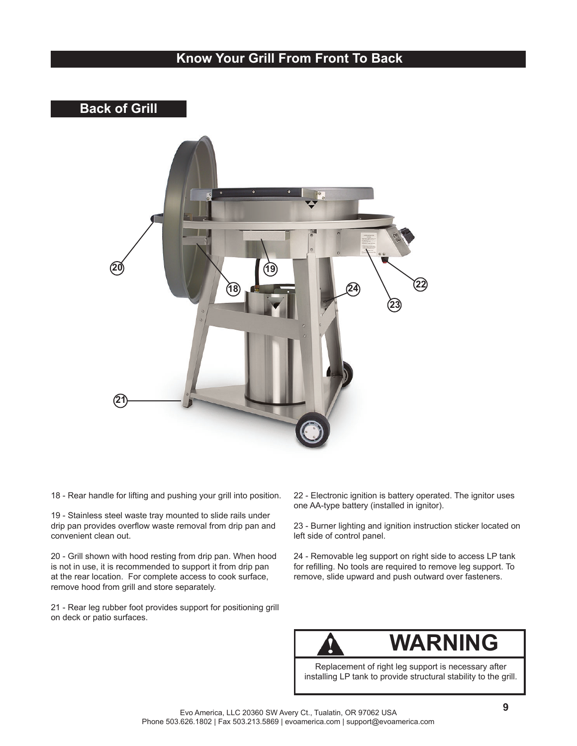# **Know Your Grill From Front To Back**

# **Back of Grill**



18 - Rear handle for lifting and pushing your grill into position.

19 - Stainless steel waste tray mounted to slide rails under drip pan provides overflow waste removal from drip pan and convenient clean out.

20 - Grill shown with hood resting from drip pan. When hood is not in use, it is recommended to support it from drip pan at the rear location. For complete access to cook surface, remove hood from grill and store separately.

21 - Rear leg rubber foot provides support for positioning grill on deck or patio surfaces.

22 - Electronic ignition is battery operated. The ignitor uses one AA-type battery (installed in ignitor).

23 - Burner lighting and ignition instruction sticker located on left side of control panel.

24 - Removable leg support on right side to access LP tank for refilling. No tools are required to remove leg support. To remove, slide upward and push outward over fasteners.



# **WARNING**

Replacement of right leg support is necessary after installing LP tank to provide structural stability to the grill.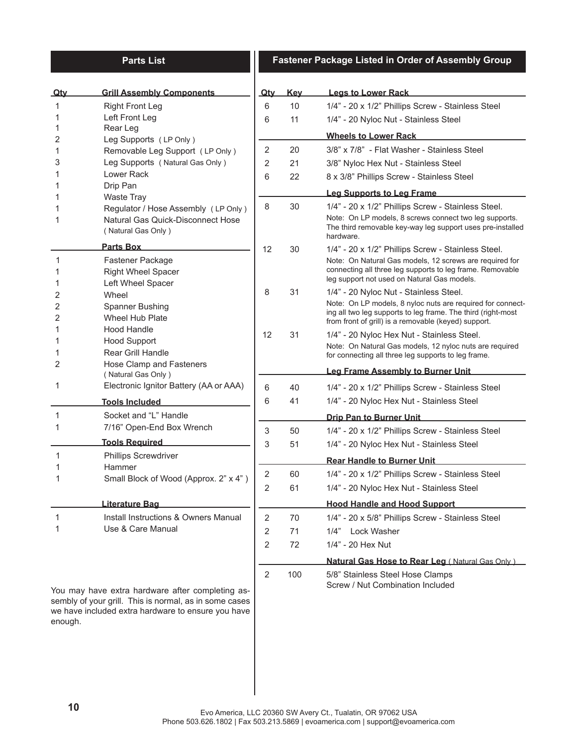### **Parts List**

### **Fastener Package Listed in Order of Assembly Group**

| <b>Qty</b> | <b>Grill Assembly Components</b>                                                                           | <u>Qtv</u>     | <u>Kev</u> | <b>Legs to Lower Rack</b>                                                                                                                                                          |
|------------|------------------------------------------------------------------------------------------------------------|----------------|------------|------------------------------------------------------------------------------------------------------------------------------------------------------------------------------------|
| 1          | <b>Right Front Leg</b>                                                                                     | 6              | 10         | 1/4" - 20 x 1/2" Phillips Screw - Stainless Steel                                                                                                                                  |
| 1          | Left Front Leg                                                                                             | 6              | 11         | 1/4" - 20 Nyloc Nut - Stainless Steel                                                                                                                                              |
| 1          | Rear Leg                                                                                                   |                |            | <b>Wheels to Lower Rack</b>                                                                                                                                                        |
| 2<br>1     | Leg Supports (LP Only)<br>Removable Leg Support (LP Only)                                                  | $\overline{2}$ | 20         | 3/8" x 7/8" - Flat Washer - Stainless Steel                                                                                                                                        |
| 3          | Leg Supports (Natural Gas Only)                                                                            | 2              | 21         | 3/8" Nyloc Hex Nut - Stainless Steel                                                                                                                                               |
|            | Lower Rack                                                                                                 | 6              | 22         | 8 x 3/8" Phillips Screw - Stainless Steel                                                                                                                                          |
| 1          | Drip Pan                                                                                                   |                |            | <b>Leg Supports to Leg Frame</b>                                                                                                                                                   |
| 1          | <b>Waste Tray</b>                                                                                          | 8              | 30         | 1/4" - 20 x 1/2" Phillips Screw - Stainless Steel.                                                                                                                                 |
| 1          | Regulator / Hose Assembly (LP Only)<br>Natural Gas Quick-Disconnect Hose<br>(Natural Gas Only)             |                |            | Note: On LP models, 8 screws connect two leg supports.<br>The third removable key-way leg support uses pre-installed<br>hardware.                                                  |
|            | <b>Parts Box</b>                                                                                           | 12             | 30         | 1/4" - 20 x 1/2" Phillips Screw - Stainless Steel.                                                                                                                                 |
| 1<br>1     | Fastener Package<br><b>Right Wheel Spacer</b>                                                              |                |            | Note: On Natural Gas models, 12 screws are required for<br>connecting all three leg supports to leg frame. Removable<br>leg support not used on Natural Gas models.                |
| 1<br>2     | Left Wheel Spacer<br>Wheel                                                                                 | 8              | 31         | 1/4" - 20 Nyloc Nut - Stainless Steel.                                                                                                                                             |
| 2<br>2     | Spanner Bushing<br>Wheel Hub Plate                                                                         |                |            | Note: On LP models, 8 nyloc nuts are required for connect-<br>ing all two leg supports to leg frame. The third (right-most<br>from front of grill) is a removable (keyed) support. |
| 1          | Hood Handle                                                                                                | 12             | 31         | 1/4" - 20 Nyloc Hex Nut - Stainless Steel.                                                                                                                                         |
| 1          | <b>Hood Support</b><br><b>Rear Grill Handle</b>                                                            |                |            | Note: On Natural Gas models, 12 nyloc nuts are required<br>for connecting all three leg supports to leg frame.                                                                     |
| 2          | Hose Clamp and Fasteners<br>(Natural Gas Only)                                                             |                |            | <b>Leg Frame Assembly to Burner Unit</b>                                                                                                                                           |
| 1          | Electronic Ignitor Battery (AA or AAA)                                                                     | 6              | 40         | 1/4" - 20 x 1/2" Phillips Screw - Stainless Steel                                                                                                                                  |
|            | <b>Tools Included</b>                                                                                      | 6              | 41         | 1/4" - 20 Nyloc Hex Nut - Stainless Steel                                                                                                                                          |
| 1          | Socket and "L" Handle                                                                                      |                |            | <b>Drip Pan to Burner Unit</b>                                                                                                                                                     |
| 1          | 7/16" Open-End Box Wrench                                                                                  | 3              | 50         | 1/4" - 20 x 1/2" Phillips Screw - Stainless Steel                                                                                                                                  |
|            | <b>Tools Required</b>                                                                                      | 3              | 51         | 1/4" - 20 Nyloc Hex Nut - Stainless Steel                                                                                                                                          |
| 1          | <b>Phillips Screwdriver</b>                                                                                |                |            | <b>Rear Handle to Burner Unit</b>                                                                                                                                                  |
|            | Hammer                                                                                                     | 2              | 60         | 1/4" - 20 x 1/2" Phillips Screw - Stainless Steel                                                                                                                                  |
|            | Small Block of Wood (Approx. 2" x 4")                                                                      | 2              | 61         | 1/4" - 20 Nyloc Hex Nut - Stainless Steel                                                                                                                                          |
|            | Literature Bag                                                                                             |                |            | <b>Hood Handle and Hood Support</b>                                                                                                                                                |
|            | Install Instructions & Owners Manual                                                                       | $\overline{2}$ | 70         | 1/4" - 20 x 5/8" Phillips Screw - Stainless Steel                                                                                                                                  |
| 1<br>1     | Use & Care Manual                                                                                          | 2              | 71         | Lock Washer<br>1/4"                                                                                                                                                                |
|            |                                                                                                            | $\overline{2}$ | 72         | 1/4" - 20 Hex Nut                                                                                                                                                                  |
|            |                                                                                                            |                |            |                                                                                                                                                                                    |
|            |                                                                                                            |                |            | <b>Natural Gas Hose to Rear Leg (Natural Gas Only)</b>                                                                                                                             |
|            | You may have extra hardware after completing as-<br>sembly of your grill. This is normal, as in some cases | 2              | 100        | 5/8" Stainless Steel Hose Clamps<br>Screw / Nut Combination Included                                                                                                               |

enough.

we have included extra hardware to ensure you have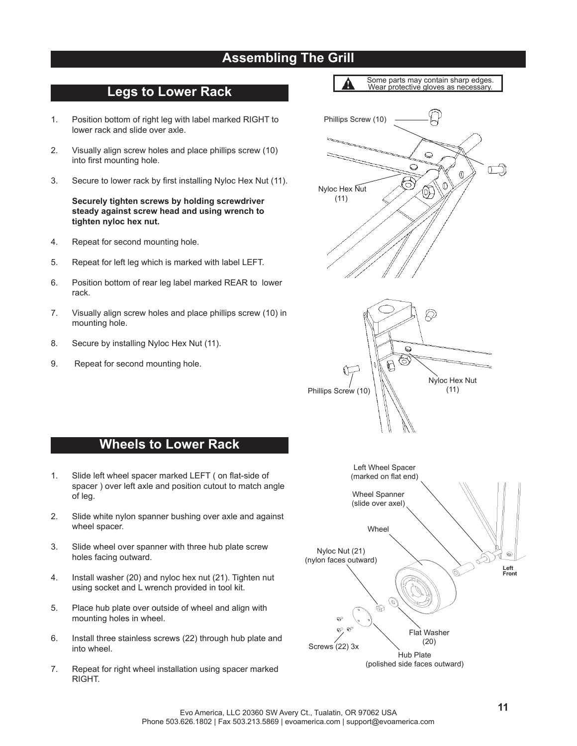# **Assembling The Grill**

## **Legs to Lower Rack**

- 1. Position bottom of right leg with label marked RIGHT to lower rack and slide over axle.
- 2. Visually align screw holes and place phillips screw (10) into first mounting hole.
- 3. Secure to lower rack by first installing Nyloc Hex Nut (11).

 **Securely tighten screws by holding screwdriver steady against screw head and using wrench to tighten nyloc hex nut.**

- 4. Repeat for second mounting hole.
- 5. Repeat for left leg which is marked with label LEFT.
- 6. Position bottom of rear leg label marked REAR to lower rack.
- 7. Visually align screw holes and place phillips screw (10) in mounting hole.

**Wheels to Lower Rack**

spacer ) over left axle and position cutout to match angle

1. Slide left wheel spacer marked LEFT ( on flat-side of

2. Slide white nylon spanner bushing over axle and against

3. Slide wheel over spanner with three hub plate screw

4. Install washer (20) and nyloc hex nut (21). Tighten nut using socket and L wrench provided in tool kit.

5. Place hub plate over outside of wheel and align with

- 8. Secure by installing Nyloc Hex Nut (11).
- 9. Repeat for second mounting hole.

of leg.

wheel spacer.

into wheel.

holes facing outward.

mounting holes in wheel.



7. Repeat for right wheel installation using spacer marked RIGHT.

6. Install three stainless screws (22) through hub plate and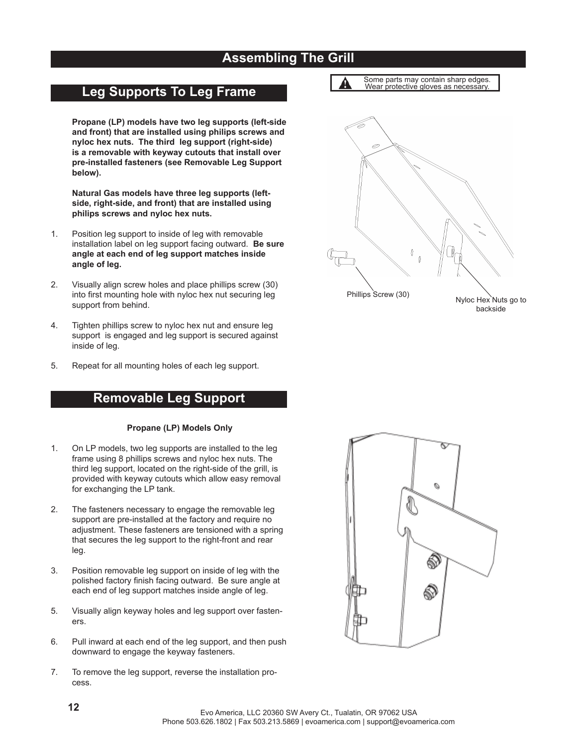# **Assembling The Grill**

A

Þ

# **Leg Supports To Leg Frame**

**Propane (LP) models have two leg supports (left-side and front) that are installed using philips screws and nyloc hex nuts. The third leg support (right-side) is a removable with keyway cutouts that install over pre-installed fasteners (see Removable Leg Support below).**

 **Natural Gas models have three leg supports (leftside, right-side, and front) that are installed using philips screws and nyloc hex nuts.**

- 1. Position leg support to inside of leg with removable installation label on leg support facing outward. **Be sure angle at each end of leg support matches inside angle of leg.**
- 2. Visually align screw holes and place phillips screw (30) into first mounting hole with nyloc hex nut securing leg support from behind.
- 4. Tighten phillips screw to nyloc hex nut and ensure leg support is engaged and leg support is secured against inside of leg.
- 5. Repeat for all mounting holes of each leg support.

### **Removable Leg Support**

### **Propane (LP) Models Only**

- 1. On LP models, two leg supports are installed to the leg frame using 8 phillips screws and nyloc hex nuts. The third leg support, located on the right-side of the grill, is provided with keyway cutouts which allow easy removal for exchanging the LP tank.
- 2. The fasteners necessary to engage the removable leg support are pre-installed at the factory and require no adjustment. These fasteners are tensioned with a spring that secures the leg support to the right-front and rear leg.
- 3. Position removable leg support on inside of leg with the polished factory finish facing outward. Be sure angle at each end of leg support matches inside angle of leg.
- 5. Visually align keyway holes and leg support over fasteners.
- 6. Pull inward at each end of the leg support, and then push downward to engage the keyway fasteners.
- 7. To remove the leg support, reverse the installation process.

 $\hat{a}$ Phillips Screw (30) Nyloc Hex Nuts go to backside

Some parts may contain sharp edges. Wear protective gloves as necessary.

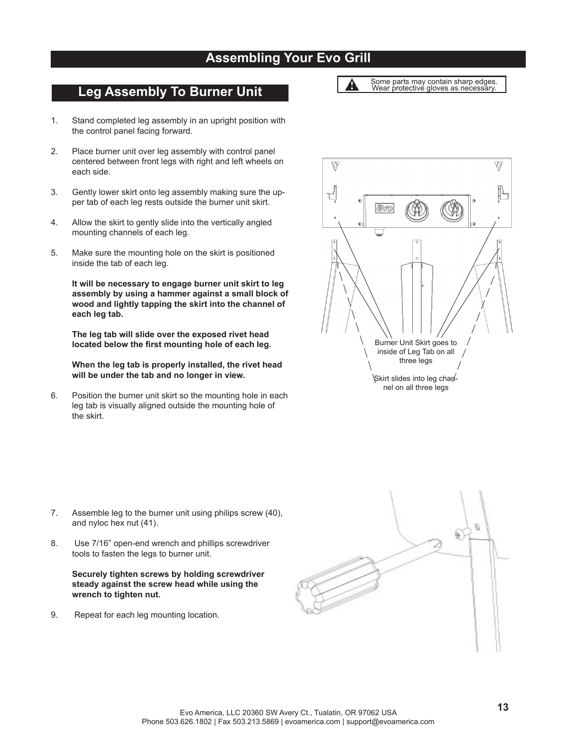# **Assembling Your Evo Grill**

# **Leg Assembly To Burner Unit**

- 1. Stand completed leg assembly in an upright position with the control panel facing forward.
- 2. Place burner unit over leg assembly with control panel centered between front legs with right and left wheels on each side.
- 3. Gently lower skirt onto leg assembly making sure the upper tab of each leg rests outside the burner unit skirt.
- 4. Allow the skirt to gently slide into the vertically angled mounting channels of each leg.
- 5. Make sure the mounting hole on the skirt is positioned inside the tab of each leg.

 **It will be necessary to engage burner unit skirt to leg assembly by using a hammer against a small block of wood and lightly tapping the skirt into the channel of each leg tab.**

 **The leg tab will slide over the exposed rivet head**  located below the first mounting hole of each leg.

 **When the leg tab is properly installed, the rivet head will be under the tab and no longer in view.**

6. Position the burner unit skirt so the mounting hole in each leg tab is visually aligned outside the mounting hole of the skirt.

- 7. Assemble leg to the burner unit using philips screw (40), and nyloc hex nut (41).
- 8. Use 7/16" open-end wrench and phillips screwdriver tools to fasten the legs to burner unit.

 **Securely tighten screws by holding screwdriver steady against the screw head while using the wrench to tighten nut.**

9. Repeat for each leg mounting location.







Some parts may contain sharp edges. Wear protective gloves as necessary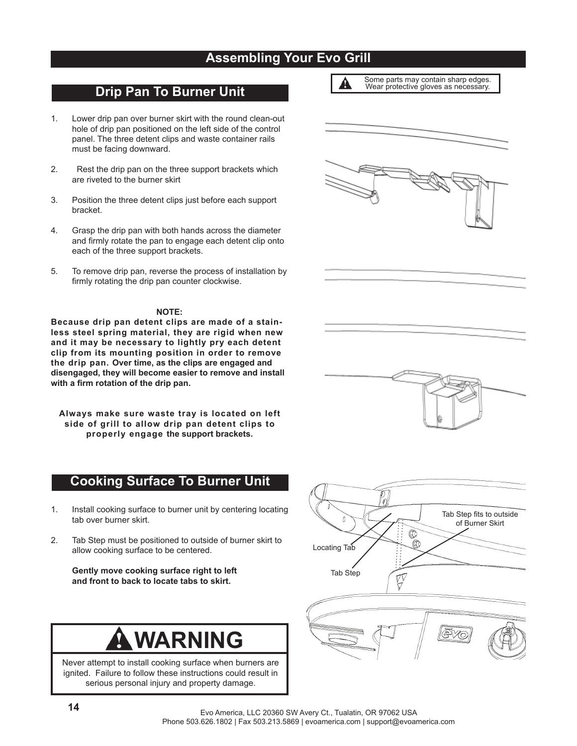# **Assembling Your Evo Grill**

A

### **Drip Pan To Burner Unit**

- 1. Lower drip pan over burner skirt with the round clean-out hole of drip pan positioned on the left side of the control panel. The three detent clips and waste container rails must be facing downward.
- 2. Rest the drip pan on the three support brackets which are riveted to the burner skirt
- 3. Position the three detent clips just before each support bracket.
- 4. Grasp the drip pan with both hands across the diameter and firmly rotate the pan to engage each detent clip onto each of the three support brackets.
- 5. To remove drip pan, reverse the process of installation by firmly rotating the drip pan counter clockwise.

### **NOTE:**

**Because drip pan detent clips are made of a stainless steel spring material, they are rigid when new and it may be necessary to lightly pry each detent clip from its mounting position in order to remove the drip pan. Over time, as the clips are engaged and disengaged, they will become easier to remove and install**  with a firm rotation of the drip pan.

**Always make sure waste tray is located on left side of grill to allow drip pan detent clips to properly engage the support brackets.**

## **Cooking Surface To Burner Unit**

- 1. Install cooking surface to burner unit by centering locating tab over burner skirt.
- 2. Tab Step must be positioned to outside of burner skirt to allow cooking surface to be centered.

 **Gently move cooking surface right to left and front to back to locate tabs to skirt.**

# **WARNING**

Never attempt to install cooking surface when burners are ignited. Failure to follow these instructions could result in serious personal injury and property damage.



| Some parts may contain sharp edges.  |
|--------------------------------------|
| Wear protective gloves as necessary. |



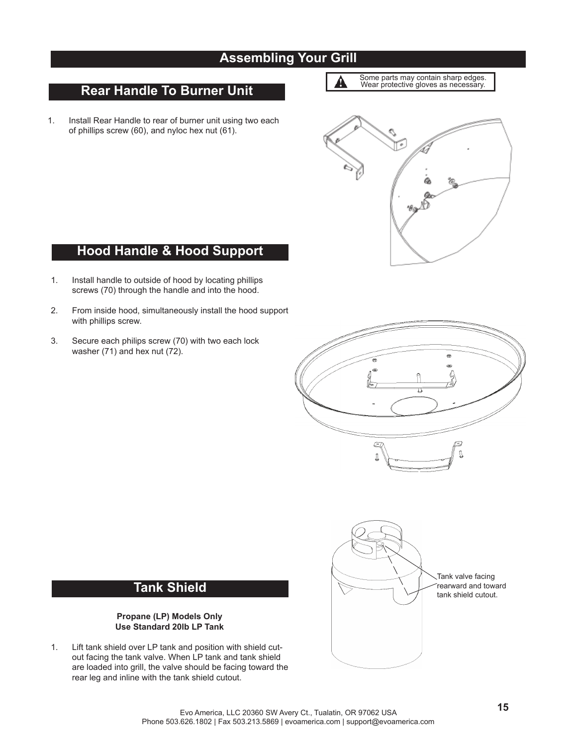# **Assembling Your Grill**

# **Rear Handle To Burner Unit**

- 1. Install Rear Handle to rear of burner unit using two each of phillips screw (60), and nyloc hex nut (61).
- Some parts may contain sharp edges. Wear protective gloves as necessary.  $\blacktriangle$



# **Hood Handle & Hood Support**

- 1. Install handle to outside of hood by locating phillips screws (70) through the handle and into the hood.
- 2. From inside hood, simultaneously install the hood support with phillips screw.
- 3. Secure each philips screw (70) with two each lock washer (71) and hex nut (72).





# **Tank Shield**

### **Propane (LP) Models Only Use Standard 20lb LP Tank**

1. Lift tank shield over LP tank and position with shield cutout facing the tank valve. When LP tank and tank shield are loaded into grill, the valve should be facing toward the rear leg and inline with the tank shield cutout.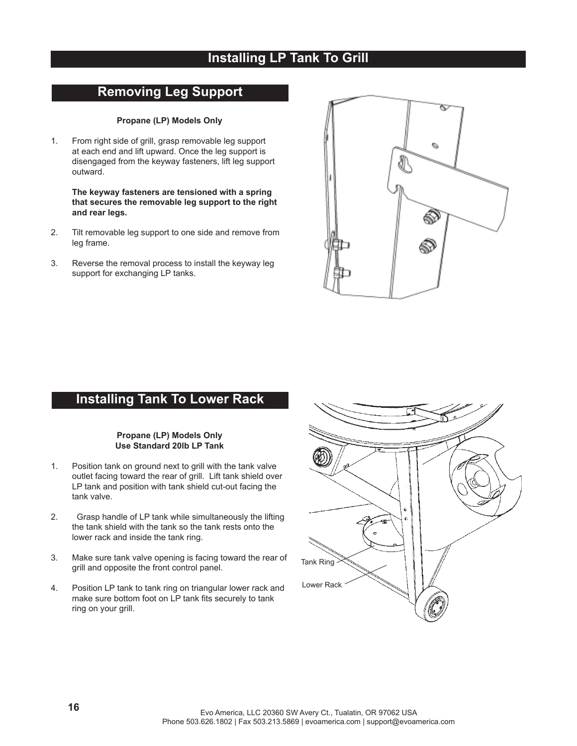# **Installing LP Tank To Grill**

## **Removing Leg Support**

### **Propane (LP) Models Only**

1. From right side of grill, grasp removable leg support at each end and lift upward. Once the leg support is disengaged from the keyway fasteners, lift leg support outward.

**The keyway fasteners are tensioned with a spring that secures the removable leg support to the right and rear legs.**

- 2. Tilt removable leg support to one side and remove from leg frame.
- 3. Reverse the removal process to install the keyway leg support for exchanging LP tanks.



# **Installing Tank To Lower Rack**

### **Propane (LP) Models Only Use Standard 20lb LP Tank**

- 1. Position tank on ground next to grill with the tank valve outlet facing toward the rear of grill. Lift tank shield over LP tank and position with tank shield cut-out facing the tank valve.
- 2. Grasp handle of LP tank while simultaneously the lifting the tank shield with the tank so the tank rests onto the lower rack and inside the tank ring.
- 3. Make sure tank valve opening is facing toward the rear of grill and opposite the front control panel.
- 4. Position LP tank to tank ring on triangular lower rack and make sure bottom foot on LP tank fits securely to tank ring on your grill.

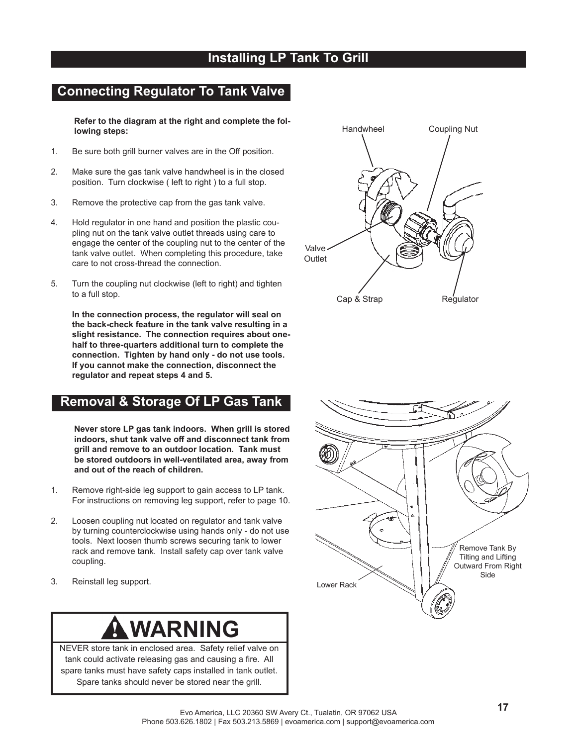# **Installing LP Tank To Grill**

# **Connecting Regulator To Tank Valve**

 **Refer to the diagram at the right and complete the following steps:**

- 1. Be sure both grill burner valves are in the Off position.
- 2. Make sure the gas tank valve handwheel is in the closed position. Turn clockwise ( left to right ) to a full stop.
- 3. Remove the protective cap from the gas tank valve.
- 4. Hold regulator in one hand and position the plastic coupling nut on the tank valve outlet threads using care to engage the center of the coupling nut to the center of the tank valve outlet. When completing this procedure, take care to not cross-thread the connection.
- 5. Turn the coupling nut clockwise (left to right) and tighten to a full stop.

 **In the connection process, the regulator will seal on the back-check feature in the tank valve resulting in a slight resistance. The connection requires about onehalf to three-quarters additional turn to complete the connection. Tighten by hand only - do not use tools. If you cannot make the connection, disconnect the regulator and repeat steps 4 and 5.**

# **Removal & Storage Of LP Gas Tank**

 **Never store LP gas tank indoors. When grill is stored indoors, shut tank valve off and disconnect tank from grill and remove to an outdoor location. Tank must be stored outdoors in well-ventilated area, away from and out of the reach of children.**

- 1. Remove right-side leg support to gain access to LP tank. For instructions on removing leg support, refer to page 10.
- 2. Loosen coupling nut located on regulator and tank valve by turning counterclockwise using hands only - do not use tools. Next loosen thumb screws securing tank to lower rack and remove tank. Install safety cap over tank valve coupling.
- 3. Reinstall leg support.



NEVER store tank in enclosed area. Safety relief valve on tank could activate releasing gas and causing a fire. All spare tanks must have safety caps installed in tank outlet. Spare tanks should never be stored near the grill.



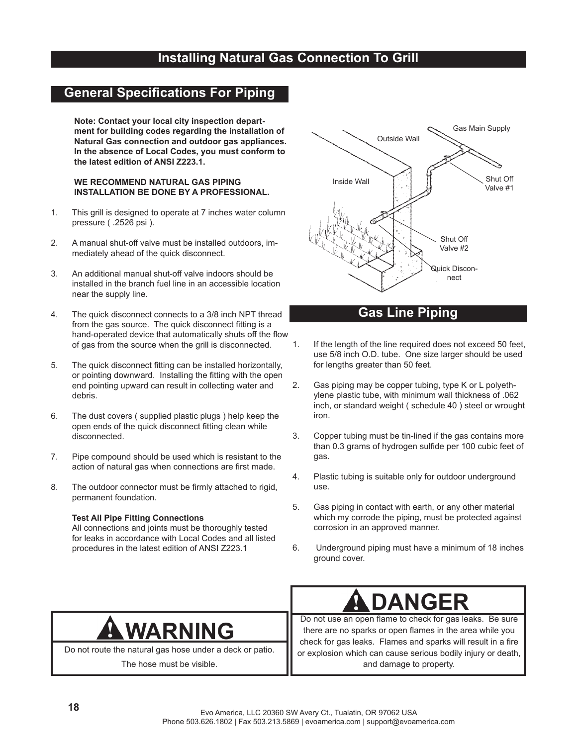# **Installing Natural Gas Connection To Grill**

# **General Specifications For Piping**

**Note: Contact your local city inspection department for building codes regarding the installation of Natural Gas connection and outdoor gas appliances. In the absence of Local Codes, you must conform to the latest edition of ANSI Z223.1.**

### **WE RECOMMEND NATURAL GAS PIPING INSTALLATION BE DONE BY A PROFESSIONAL.**

- 1. This grill is designed to operate at 7 inches water column pressure ( .2526 psi ).
- 2. A manual shut-off valve must be installed outdoors, immediately ahead of the quick disconnect.
- 3. An additional manual shut-off valve indoors should be installed in the branch fuel line in an accessible location near the supply line.
- 4. The quick disconnect connects to a 3/8 inch NPT thread from the gas source. The quick disconnect fitting is a hand-operated device that automatically shuts off the flow of gas from the source when the grill is disconnected.
- 5. The quick disconnect fitting can be installed horizontally, or pointing downward. Installing the fitting with the open end pointing upward can result in collecting water and debris.
- 6. The dust covers ( supplied plastic plugs ) help keep the open ends of the quick disconnect fitting clean while disconnected.
- 7. Pipe compound should be used which is resistant to the action of natural gas when connections are first made.
- 8. The outdoor connector must be firmly attached to rigid, permanent foundation.

### **Test All Pipe Fitting Connections**

 All connections and joints must be thoroughly tested for leaks in accordance with Local Codes and all listed procedures in the latest edition of ANSI Z223.1



## **Gas Line Piping**

- 1. If the length of the line required does not exceed 50 feet, use 5/8 inch O.D. tube. One size larger should be used for lengths greater than 50 feet.
- 2. Gas piping may be copper tubing, type K or L polyethylene plastic tube, with minimum wall thickness of .062 inch, or standard weight ( schedule 40 ) steel or wrought iron.
- 3. Copper tubing must be tin-lined if the gas contains more than 0.3 grams of hydrogen sulfide per 100 cubic feet of gas.
- 4. Plastic tubing is suitable only for outdoor underground use.
- 5. Gas piping in contact with earth, or any other material which my corrode the piping, must be protected against corrosion in an approved manner.
- 6. Underground piping must have a minimum of 18 inches ground cover.



Do not route the natural gas hose under a deck or patio.

The hose must be visible.

# **DANGER**

Do not use an open flame to check for gas leaks. Be sure there are no sparks or open flames in the area while you check for gas leaks. Flames and sparks will result in a fire or explosion which can cause serious bodily injury or death, and damage to property.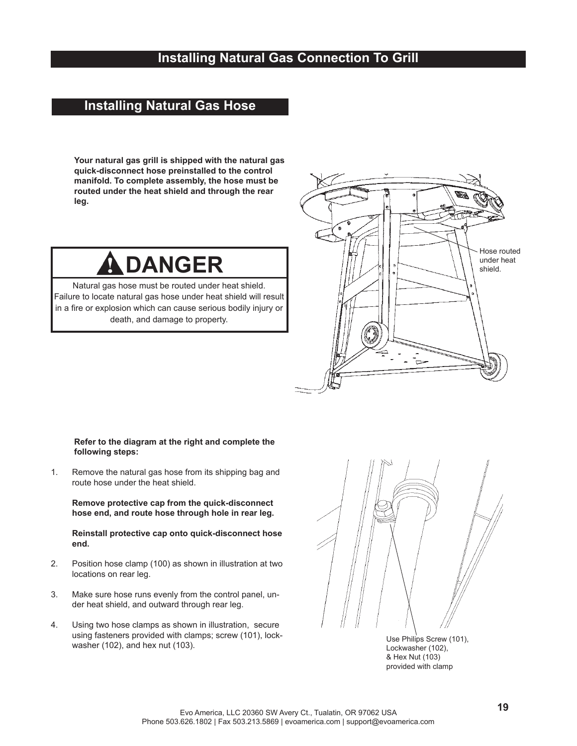# **Installing Natural Gas Connection To Grill**

# **Installing Natural Gas Hose**

**Your natural gas grill is shipped with the natural gas quick-disconnect hose preinstalled to the control manifold. To complete assembly, the hose must be routed under the heat shield and through the rear leg.**

# **DANGER**

Natural gas hose must be routed under heat shield. Failure to locate natural gas hose under heat shield will result in a fire or explosion which can cause serious bodily injury or death, and damage to property.



### **Refer to the diagram at the right and complete the following steps:**

1. Remove the natural gas hose from its shipping bag and route hose under the heat shield.

 **Remove protective cap from the quick-disconnect hose end, and route hose through hole in rear leg.**

**Reinstall protective cap onto quick-disconnect hose end.**

- 2. Position hose clamp (100) as shown in illustration at two locations on rear leg.
- 3. Make sure hose runs evenly from the control panel, under heat shield, and outward through rear leg.
- 4. Using two hose clamps as shown in illustration, secure using fasteners provided with clamps; screw (101), lockwasher (102), and hex nut (103).



Use Philips Screw (101), Lockwasher (102), & Hex Nut (103) provided with clamp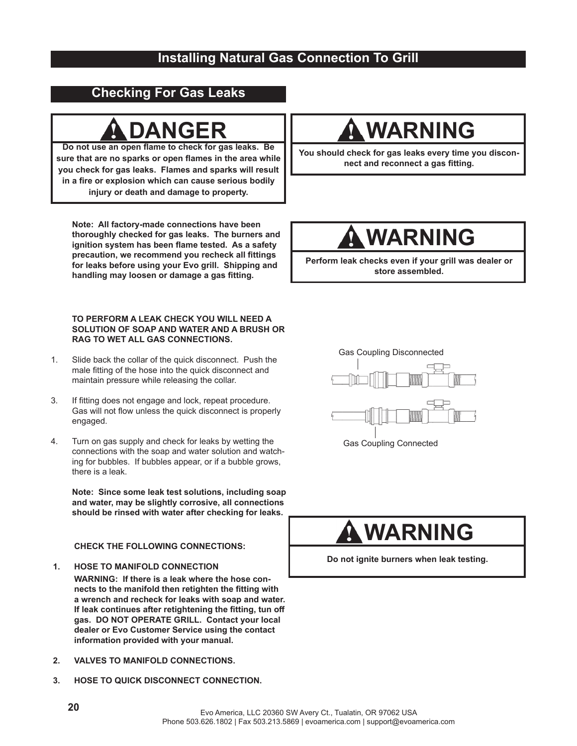# **Installing Natural Gas Connection To Grill**

# **Checking For Gas Leaks**

Do not use an open flame to check for gas leaks. Be sure that are no sparks or open flames in the area while **you check for gas leaks. Flames and sparks will result**  in a fire or explosion which can cause serious bodily **injury or death and damage to property.**

**Note: All factory-made connections have been thoroughly checked for gas leaks. The burners and**  ignition system has been flame tested. As a safety precaution, we recommend you recheck all fittings **for leaks before using your Evo grill. Shipping and**  handling may loosen or damage a gas fitting.

### **TO PERFORM A LEAK CHECK YOU WILL NEED A SOLUTION OF SOAP AND WATER AND A BRUSH OR RAG TO WET ALL GAS CONNECTIONS.**

- 1. Slide back the collar of the quick disconnect. Push the male fitting of the hose into the quick disconnect and maintain pressure while releasing the collar.
- 3. If fitting does not engage and lock, repeat procedure. Gas will not flow unless the quick disconnect is properly engaged.
- 4. Turn on gas supply and check for leaks by wetting the connections with the soap and water solution and watching for bubbles. If bubbles appear, or if a bubble grows, there is a leak.

 **Note: Since some leak test solutions, including soap and water, may be slightly corrosive, all connections should be rinsed with water after checking for leaks.**

### **CHECK THE FOLLOWING CONNECTIONS:**

- **1. HOSE TO MANIFOLD CONNECTION WARNING: If there is a leak where the hose con**nects to the manifold then retighten the fitting with **a wrench and recheck for leaks with soap and water.**  If leak continues after retightening the fitting, tun off **gas. DO NOT OPERATE GRILL. Contact your local dealer or Evo Customer Service using the contact information provided with your manual.**
- **2. VALVES TO MANIFOLD CONNECTIONS.**
- **3. HOSE TO QUICK DISCONNECT CONNECTION.**

# DANGER II **AWARNING**

**You should check for gas leaks every time you disconnect and reconnect a gas fitting.** 

# **WARNING**

**Perform leak checks even if your grill was dealer or store assembled.**



Gas Coupling Connected

# **WARNING**

**Do not ignite burners when leak testing.**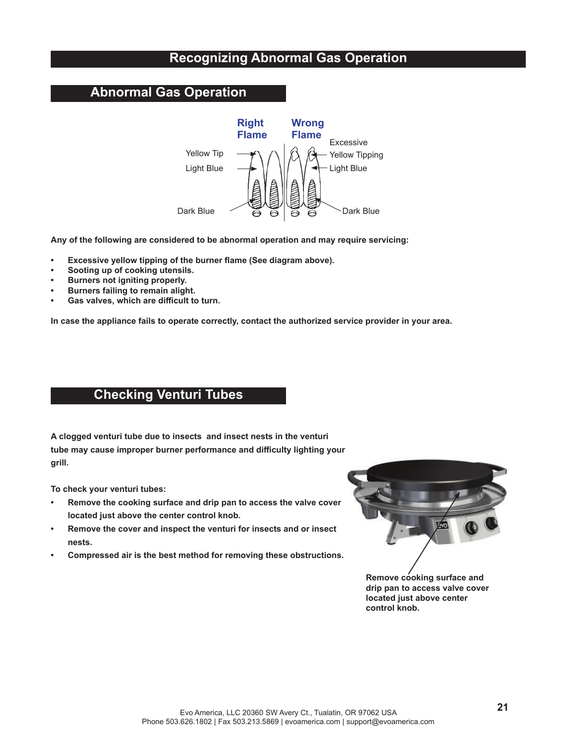# **Recognizing Abnormal Gas Operation**

## **Abnormal Gas Operation**



**Any of the following are considered to be abnormal operation and may require servicing:**

- **Excessive yellow tipping of the burner flame (See diagram above).**
- **Sooting up of cooking utensils.**
- **Burners not igniting properly.**
- **Burners failing to remain alight.**
- Gas valves, which are difficult to turn.

**In case the appliance fails to operate correctly, contact the authorized service provider in your area.**

## **Checking Venturi Tubes**

**A clogged venturi tube due to insects and insect nests in the venturi tube may cause improper burner performance and diffi culty lighting your grill.** 

**To check your venturi tubes:**

- **Remove the cooking surface and drip pan to access the valve cover located just above the center control knob.**
- **Remove the cover and inspect the venturi for insects and or insect nests.**
- **Compressed air is the best method for removing these obstructions.**



**Remove cooking surface and drip pan to access valve cover located just above center control knob.**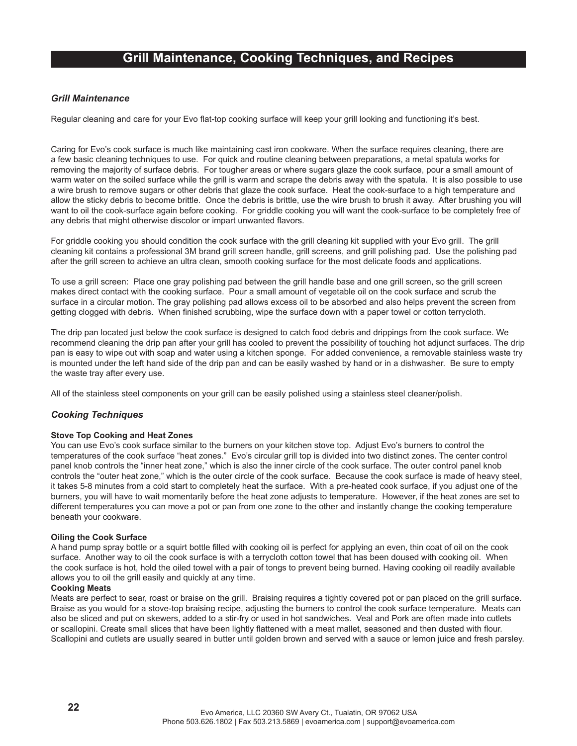### **Grill Maintenance, Cooking Techniques, and Recipes**

### *Grill Maintenance*

Regular cleaning and care for your Evo flat-top cooking surface will keep your grill looking and functioning it's best.

Caring for Evo's cook surface is much like maintaining cast iron cookware. When the surface requires cleaning, there are a few basic cleaning techniques to use. For quick and routine cleaning between preparations, a metal spatula works for removing the majority of surface debris. For tougher areas or where sugars glaze the cook surface, pour a small amount of warm water on the soiled surface while the grill is warm and scrape the debris away with the spatula. It is also possible to use a wire brush to remove sugars or other debris that glaze the cook surface. Heat the cook-surface to a high temperature and allow the sticky debris to become brittle. Once the debris is brittle, use the wire brush to brush it away. After brushing you will want to oil the cook-surface again before cooking. For griddle cooking you will want the cook-surface to be completely free of any debris that might otherwise discolor or impart unwanted flavors.

For griddle cooking you should condition the cook surface with the grill cleaning kit supplied with your Evo grill. The grill cleaning kit contains a professional 3M brand grill screen handle, grill screens, and grill polishing pad. Use the polishing pad after the grill screen to achieve an ultra clean, smooth cooking surface for the most delicate foods and applications.

To use a grill screen: Place one gray polishing pad between the grill handle base and one grill screen, so the grill screen makes direct contact with the cooking surface. Pour a small amount of vegetable oil on the cook surface and scrub the surface in a circular motion. The gray polishing pad allows excess oil to be absorbed and also helps prevent the screen from getting clogged with debris. When finished scrubbing, wipe the surface down with a paper towel or cotton terrycloth.

The drip pan located just below the cook surface is designed to catch food debris and drippings from the cook surface. We recommend cleaning the drip pan after your grill has cooled to prevent the possibility of touching hot adjunct surfaces. The drip pan is easy to wipe out with soap and water using a kitchen sponge. For added convenience, a removable stainless waste try is mounted under the left hand side of the drip pan and can be easily washed by hand or in a dishwasher. Be sure to empty the waste tray after every use.

All of the stainless steel components on your grill can be easily polished using a stainless steel cleaner/polish.

### *Cooking Techniques*

### **Stove Top Cooking and Heat Zones**

You can use Evo's cook surface similar to the burners on your kitchen stove top. Adjust Evo's burners to control the temperatures of the cook surface "heat zones." Evo's circular grill top is divided into two distinct zones. The center control panel knob controls the "inner heat zone," which is also the inner circle of the cook surface. The outer control panel knob controls the "outer heat zone," which is the outer circle of the cook surface. Because the cook surface is made of heavy steel, it takes 5-8 minutes from a cold start to completely heat the surface. With a pre-heated cook surface, if you adjust one of the burners, you will have to wait momentarily before the heat zone adjusts to temperature. However, if the heat zones are set to different temperatures you can move a pot or pan from one zone to the other and instantly change the cooking temperature beneath your cookware.

### **Oiling the Cook Surface**

A hand pump spray bottle or a squirt bottle filled with cooking oil is perfect for applying an even, thin coat of oil on the cook surface. Another way to oil the cook surface is with a terrycloth cotton towel that has been doused with cooking oil. When the cook surface is hot, hold the oiled towel with a pair of tongs to prevent being burned. Having cooking oil readily available allows you to oil the grill easily and quickly at any time.

### **Cooking Meats**

Meats are perfect to sear, roast or braise on the grill. Braising requires a tightly covered pot or pan placed on the grill surface. Braise as you would for a stove-top braising recipe, adjusting the burners to control the cook surface temperature. Meats can also be sliced and put on skewers, added to a stir-fry or used in hot sandwiches. Veal and Pork are often made into cutlets or scallopini. Create small slices that have been lightly flattened with a meat mallet, seasoned and then dusted with flour. Scallopini and cutlets are usually seared in butter until golden brown and served with a sauce or lemon juice and fresh parsley.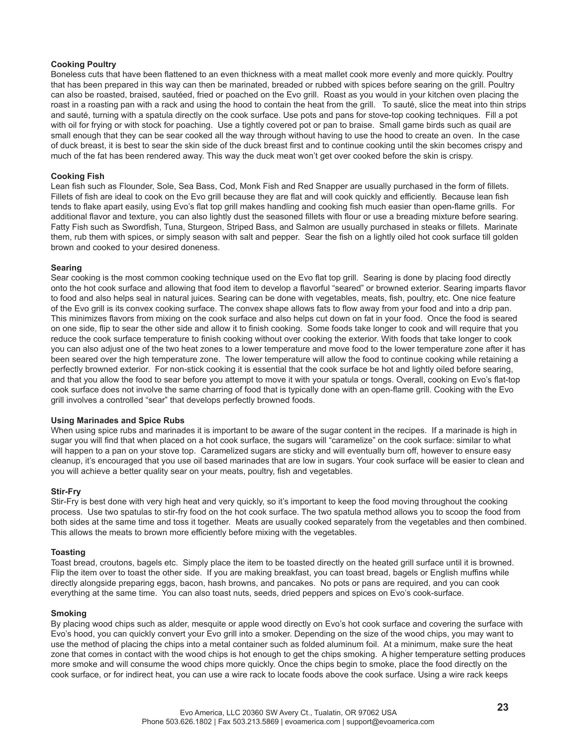### **Cooking Poultry**

Boneless cuts that have been flattened to an even thickness with a meat mallet cook more evenly and more quickly. Poultry that has been prepared in this way can then be marinated, breaded or rubbed with spices before searing on the grill. Poultry can also be roasted, braised, sautéed, fried or poached on the Evo grill. Roast as you would in your kitchen oven placing the roast in a roasting pan with a rack and using the hood to contain the heat from the grill. To sauté, slice the meat into thin strips and sauté, turning with a spatula directly on the cook surface. Use pots and pans for stove-top cooking techniques. Fill a pot with oil for frying or with stock for poaching. Use a tightly covered pot or pan to braise. Small game birds such as quail are small enough that they can be sear cooked all the way through without having to use the hood to create an oven. In the case of duck breast, it is best to sear the skin side of the duck breast first and to continue cooking until the skin becomes crispy and much of the fat has been rendered away. This way the duck meat won't get over cooked before the skin is crispy.

### **Cooking Fish**

Lean fish such as Flounder, Sole, Sea Bass, Cod, Monk Fish and Red Snapper are usually purchased in the form of fillets. Fillets of fish are ideal to cook on the Evo grill because they are flat and will cook quickly and efficiently. Because lean fish tends to flake apart easily, using Evo's flat top grill makes handling and cooking fish much easier than open-flame grills. For additional flavor and texture, you can also lightly dust the seasoned fillets with flour or use a breading mixture before searing. Fatty Fish such as Swordfish, Tuna, Sturgeon, Striped Bass, and Salmon are usually purchased in steaks or fillets. Marinate them, rub them with spices, or simply season with salt and pepper. Sear the fish on a lightly oiled hot cook surface till golden brown and cooked to your desired doneness.

### **Searing**

Sear cooking is the most common cooking technique used on the Evo flat top grill. Searing is done by placing food directly onto the hot cook surface and allowing that food item to develop a flavorful "seared" or browned exterior. Searing imparts flavor to food and also helps seal in natural juices. Searing can be done with vegetables, meats, fish, poultry, etc. One nice feature of the Evo grill is its convex cooking surface. The convex shape allows fats to flow away from your food and into a drip pan. This minimizes flavors from mixing on the cook surface and also helps cut down on fat in your food. Once the food is seared on one side, flip to sear the other side and allow it to finish cooking. Some foods take longer to cook and will require that you reduce the cook surface temperature to finish cooking without over cooking the exterior. With foods that take longer to cook you can also adjust one of the two heat zones to a lower temperature and move food to the lower temperature zone after it has been seared over the high temperature zone. The lower temperature will allow the food to continue cooking while retaining a perfectly browned exterior. For non-stick cooking it is essential that the cook surface be hot and lightly oiled before searing, and that you allow the food to sear before you attempt to move it with your spatula or tongs. Overall, cooking on Evo's flat-top cook surface does not involve the same charring of food that is typically done with an open-flame grill. Cooking with the Evo grill involves a controlled "sear" that develops perfectly browned foods.

### **Using Marinades and Spice Rubs**

When using spice rubs and marinades it is important to be aware of the sugar content in the recipes. If a marinade is high in sugar you will find that when placed on a hot cook surface, the sugars will "caramelize" on the cook surface: similar to what will happen to a pan on your stove top. Caramelized sugars are sticky and will eventually burn off, however to ensure easy cleanup, it's encouraged that you use oil based marinades that are low in sugars. Your cook surface will be easier to clean and you will achieve a better quality sear on your meats, poultry, fish and vegetables.

### **Stir-Fry**

Stir-Fry is best done with very high heat and very quickly, so it's important to keep the food moving throughout the cooking process. Use two spatulas to stir-fry food on the hot cook surface. The two spatula method allows you to scoop the food from both sides at the same time and toss it together. Meats are usually cooked separately from the vegetables and then combined. This allows the meats to brown more efficiently before mixing with the vegetables.

### **Toasting**

Toast bread, croutons, bagels etc. Simply place the item to be toasted directly on the heated grill surface until it is browned. Flip the item over to toast the other side. If you are making breakfast, you can toast bread, bagels or English muffins while directly alongside preparing eggs, bacon, hash browns, and pancakes. No pots or pans are required, and you can cook everything at the same time. You can also toast nuts, seeds, dried peppers and spices on Evo's cook-surface.

### **Smoking**

By placing wood chips such as alder, mesquite or apple wood directly on Evo's hot cook surface and covering the surface with Evo's hood, you can quickly convert your Evo grill into a smoker. Depending on the size of the wood chips, you may want to use the method of placing the chips into a metal container such as folded aluminum foil. At a minimum, make sure the heat zone that comes in contact with the wood chips is hot enough to get the chips smoking. A higher temperature setting produces more smoke and will consume the wood chips more quickly. Once the chips begin to smoke, place the food directly on the cook surface, or for indirect heat, you can use a wire rack to locate foods above the cook surface. Using a wire rack keeps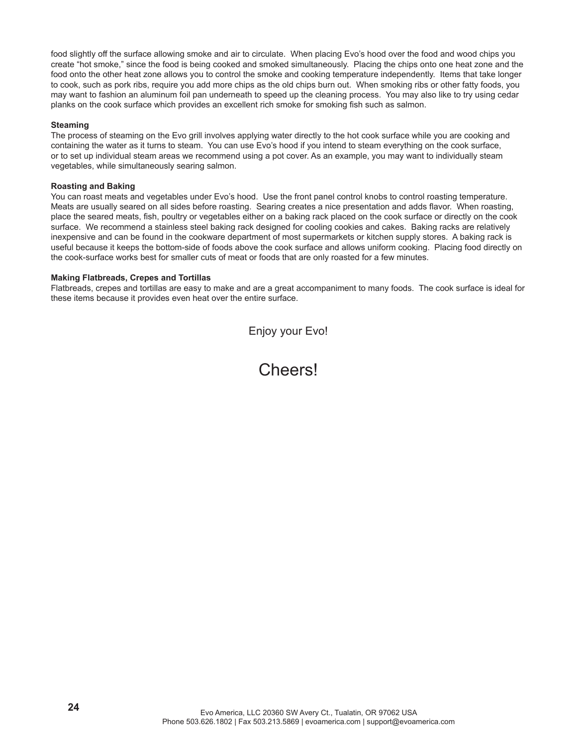food slightly off the surface allowing smoke and air to circulate. When placing Evo's hood over the food and wood chips you create "hot smoke," since the food is being cooked and smoked simultaneously. Placing the chips onto one heat zone and the food onto the other heat zone allows you to control the smoke and cooking temperature independently. Items that take longer to cook, such as pork ribs, require you add more chips as the old chips burn out. When smoking ribs or other fatty foods, you may want to fashion an aluminum foil pan underneath to speed up the cleaning process. You may also like to try using cedar planks on the cook surface which provides an excellent rich smoke for smoking fish such as salmon.

### **Steaming**

The process of steaming on the Evo grill involves applying water directly to the hot cook surface while you are cooking and containing the water as it turns to steam. You can use Evo's hood if you intend to steam everything on the cook surface, or to set up individual steam areas we recommend using a pot cover. As an example, you may want to individually steam vegetables, while simultaneously searing salmon.

### **Roasting and Baking**

You can roast meats and vegetables under Evo's hood. Use the front panel control knobs to control roasting temperature. Meats are usually seared on all sides before roasting. Searing creates a nice presentation and adds flavor. When roasting, place the seared meats, fish, poultry or vegetables either on a baking rack placed on the cook surface or directly on the cook surface. We recommend a stainless steel baking rack designed for cooling cookies and cakes. Baking racks are relatively inexpensive and can be found in the cookware department of most supermarkets or kitchen supply stores. A baking rack is useful because it keeps the bottom-side of foods above the cook surface and allows uniform cooking. Placing food directly on the cook-surface works best for smaller cuts of meat or foods that are only roasted for a few minutes.

### **Making Flatbreads, Crepes and Tortillas**

Flatbreads, crepes and tortillas are easy to make and are a great accompaniment to many foods. The cook surface is ideal for these items because it provides even heat over the entire surface.

Enjoy your Evo!

Cheers!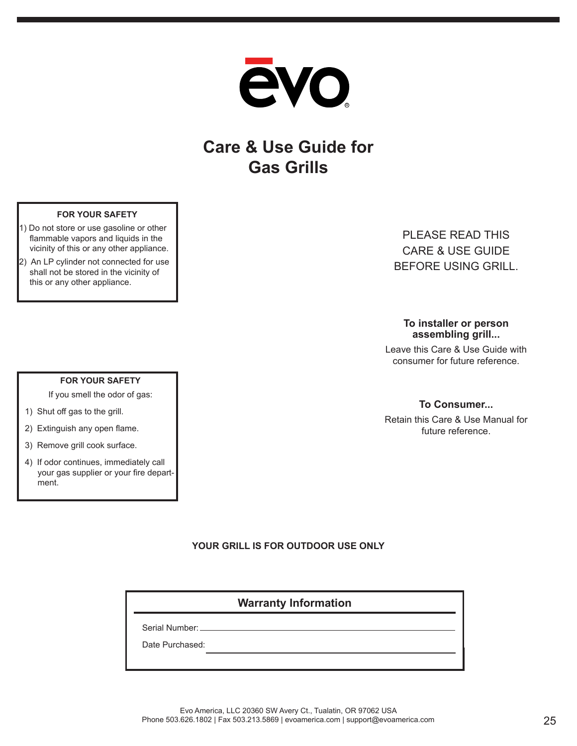

# **Care & Use Guide for Gas Grills**

### **FOR YOUR SAFETY**

- 1) Do not store or use gasoline or other flammable vapors and liquids in the vicinity of this or any other appliance.
- 2) An LP cylinder not connected for use shall not be stored in the vicinity of this or any other appliance.

**FOR YOUR SAFETY** If you smell the odor of gas:

1) Shut off gas to the grill.

ment.

2) Extinguish any open flame. 3) Remove grill cook surface.

4) If odor continues, immediately call your gas supplier or your fire depart-

# PLEASE READ THIS CARE & USE GUIDE BEFORE USING GRILL.

**To installer or person assembling grill...** 

Leave this Care & Use Guide with consumer for future reference.

### **To Consumer...**

Retain this Care & Use Manual for future reference.

### **YOUR GRILL IS FOR OUTDOOR USE ONLY**

## **Warranty Information**

Serial Number:

Date Purchased: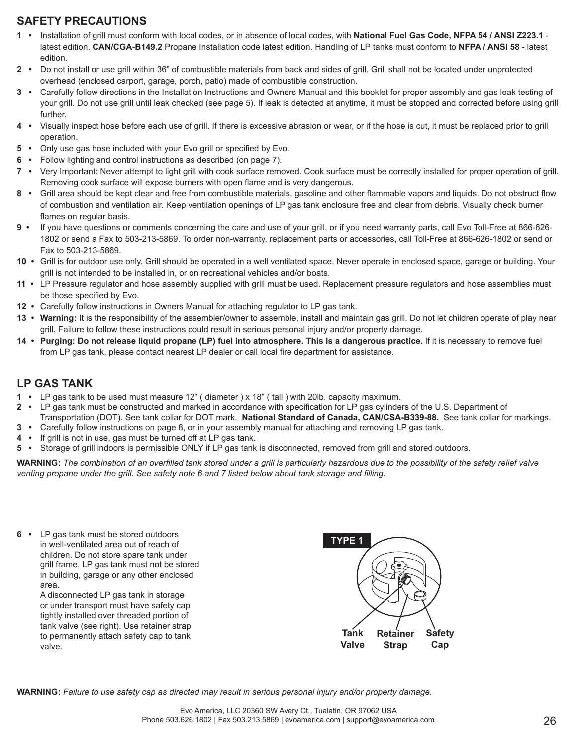### **SAFETY PRECAUTIONS**

- **1 •** Installation of grill must conform with local codes, or in absence of local codes, with **National Fuel Gas Code, NFPA 54 / ANSI Z223.1** latest edition. **CAN/CGA-B149.2** Propane Installation code latest edition. Handling of LP tanks must conform to **NFPA / ANSI 58** - latest edition.
- **2 •** Do not install or use grill within 36" of combustible materials from back and sides of grill. Grill shall not be located under unprotected overhead (enclosed carport, garage, porch, patio) made of combustible construction.
- **3 •** Carefully follow directions in the Installation Instructions and Owners Manual and this booklet for proper assembly and gas leak testing of your grill. Do not use grill until leak checked (see page 5). If leak is detected at anytime, it must be stopped and corrected before using grill further.
- **4 •** Visually inspect hose before each use of grill. If there is excessive abrasion or wear, or if the hose is cut, it must be replaced prior to grill operation.
- **5** Only use gas hose included with your Evo grill or specified by Evo.
- **6 •** Follow lighting and control instructions as described (on page 7).
- **7 •** Very Important: Never attempt to light grill with cook surface removed. Cook surface must be correctly installed for proper operation of grill. Removing cook surface will expose burners with open flame and is very dangerous.
- 8 Grill area should be kept clear and free from combustible materials, gasoline and other flammable vapors and liquids. Do not obstruct flow of combustion and ventilation air. Keep ventilation openings of LP gas tank enclosure free and clear from debris. Visually check burner flames on regular basis.
- **9 •** If you have questions or comments concerning the care and use of your grill, or if you need warranty parts, call Evo Toll-Free at 866-626- 1802 or send a Fax to 503-213-5869. To order non-warranty, replacement parts or accessories, call Toll-Free at 866-626-1802 or send or Fax to 503-213-5869.
- 10 Grill is for outdoor use only. Grill should be operated in a well ventilated space. Never operate in enclosed space, garage or building. Your grill is not intended to be installed in, or on recreational vehicles and/or boats.
- **11 •** LP Pressure regulator and hose assembly supplied with grill must be used. Replacement pressure regulators and hose assemblies must be those specified by Evo.
- **12 •** Carefully follow instructions in Owners Manual for attaching regulator to LP gas tank.
- **13 • Warning:** It is the responsibility of the assembler/owner to assemble, install and maintain gas grill. Do not let children operate of play near grill. Failure to follow these instructions could result in serious personal injury and/or property damage.
- **14 Purging: Do not release liquid propane (LP) fuel into atmosphere. This is a dangerous practice.** If it is necessary to remove fuel from LP gas tank, please contact nearest LP dealer or call local fire department for assistance.

## **LP GAS TANK**

- **1 •** LP gas tank to be used must measure 12" ( diameter ) x 18" ( tall ) with 20lb. capacity maximum.
- **2** LP gas tank must be constructed and marked in accordance with specification for LP gas cylinders of the U.S. Department of Transportation (DOT). See tank collar for DOT mark. **National Standard of Canada, CAN/CSA-B339-88.** See tank collar for markings.
- **3 •** Carefully follow instructions on page 8, or in your assembly manual for attaching and removing LP gas tank.
- **4 •** If grill is not in use, gas must be turned off at LP gas tank.
- **5** Storage of grill indoors is permissible ONLY if LP gas tank is disconnected, removed from grill and stored outdoors.

WARNING: The combination of an overfilled tank stored under a grill is particularly hazardous due to the possibility of the safety relief valve *venting propane under the grill. See safety note 6 and 7 listed below about tank storage and filling.* 

**6 •** LP gas tank must be stored outdoors in well-ventilated area out of reach of children. Do not store spare tank under grill frame. LP gas tank must not be stored in building, garage or any other enclosed area. A disconnected LP gas tank in storage or under transport must have safety cap tightly installed over threaded portion of tank valve (see right). Use retainer strap to permanently attach safety cap to tank valve. **Safety Cap Retainer Strap Tank Valve TYPE 1**

**WARNING:** *Failure to use safety cap as directed may result in serious personal injury and/or property damage.*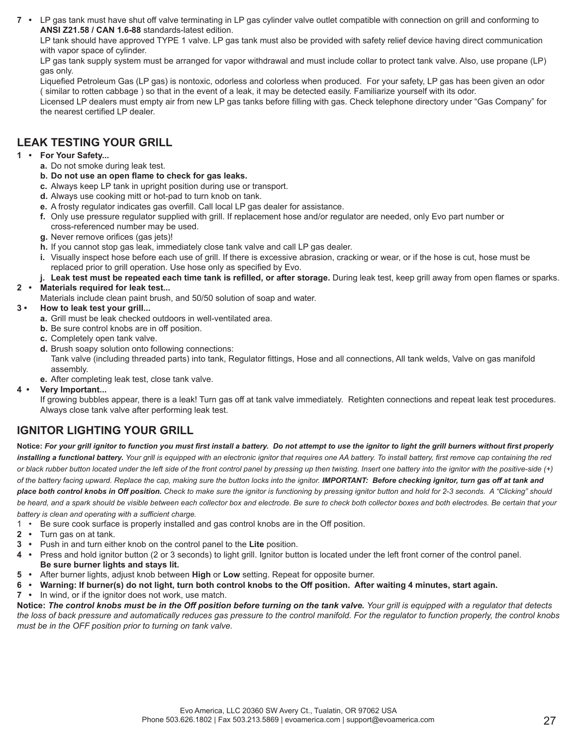**7 •** LP gas tank must have shut off valve terminating in LP gas cylinder valve outlet compatible with connection on grill and conforming to **ANSI Z21.58 / CAN 1.6-88** standards-latest edition.

 LP tank should have approved TYPE 1 valve. LP gas tank must also be provided with safety relief device having direct communication with vapor space of cylinder.

 LP gas tank supply system must be arranged for vapor withdrawal and must include collar to protect tank valve. Also, use propane (LP) gas only.

Liquefied Petroleum Gas (LP gas) is nontoxic, odorless and colorless when produced. For your safety, LP gas has been given an odor ( similar to rotten cabbage ) so that in the event of a leak, it may be detected easily. Familiarize yourself with its odor.

Licensed LP dealers must empty air from new LP gas tanks before filling with gas. Check telephone directory under "Gas Company" for the nearest certified LP dealer.

## **LEAK TESTING YOUR GRILL**

### **1 • For Your Safety...**

- **a.** Do not smoke during leak test.
- **b. Do not use an open flame to check for gas leaks.**
- **c.** Always keep LP tank in upright position during use or transport.
- **d.** Always use cooking mitt or hot-pad to turn knob on tank.
- **e.** A frosty regulator indicates gas overfill. Call local LP gas dealer for assistance.
- **f.** Only use pressure regulator supplied with grill. If replacement hose and/or regulator are needed, only Evo part number or cross-referenced number may be used.
- **g.** Never remove orifices (gas jets)!
- **h.** If you cannot stop gas leak, immediately close tank valve and call LP gas dealer.
- **i.** Visually inspect hose before each use of grill. If there is excessive abrasion, cracking or wear, or if the hose is cut, hose must be replaced prior to grill operation. Use hose only as specified by Evo.
- j. Leak test must be repeated each time tank is refilled, or after storage. During leak test, keep grill away from open flames or sparks.

### **2 • Materials required for leak test...**

- Materials include clean paint brush, and 50/50 solution of soap and water.
- **3 How to leak test your grill...**
	- **a.** Grill must be leak checked outdoors in well-ventilated area.
	- **b.** Be sure control knobs are in off position.
	- **c.** Completely open tank valve.
	- **d.** Brush soapy solution onto following connections: Tank valve (including threaded parts) into tank, Regulator fittings, Hose and all connections, All tank welds, Valve on gas manifold assembly.
	- **e.** After completing leak test, close tank valve.

### **4 • Very Important...**

 If growing bubbles appear, there is a leak! Turn gas off at tank valve immediately. Retighten connections and repeat leak test procedures. Always close tank valve after performing leak test.

## **IGNITOR LIGHTING YOUR GRILL**

Notice: For your grill ignitor to function you must first install a battery. Do not attempt to use the ignitor to light the grill burners without first properly installing a functional battery. Your grill is equipped with an electronic ignitor that requires one AA battery. To install battery, first remove cap containing the red *or black rubber button located under the left side of the front control panel by pressing up then twisting. Insert one battery into the ignitor with the positive-side (+) of the battery facing upward. Replace the cap, making sure the button locks into the ignitor. IMPORTANT: Before checking ignitor, turn gas off at tank and place both control knobs in Off position. Check to make sure the ignitor is functioning by pressing ignitor button and hold for 2-3 seconds. A "Clicking" should*  be heard, and a spark should be visible between each collector box and electrode. Be sure to check both collector boxes and both electrodes. Be certain that your *battery is clean and operating with a suffi cient charge.* 

- 1 Be sure cook surface is properly installed and gas control knobs are in the Off position.
- **2 •** Turn gas on at tank.
- **3 •** Push in and turn either knob on the control panel to the **Lite** position.
- **4 •** Press and hold ignitor button (2 or 3 seconds) to light grill. Ignitor button is located under the left front corner of the control panel. **Be sure burner lights and stays lit.**
- **5 •** After burner lights, adjust knob between **High** or **Low** setting. Repeat for opposite burner.
- **6 • Warning: If burner(s) do not light, turn both control knobs to the Off position. After waiting 4 minutes, start again.**
- **7 •** In wind, or if the ignitor does not work, use match.

**Notice:** *The control knobs must be in the Off position before turning on the tank valve. Your grill is equipped with a regulator that detects the loss of back pressure and automatically reduces gas pressure to the control manifold. For the regulator to function properly, the control knobs must be in the OFF position prior to turning on tank valve.*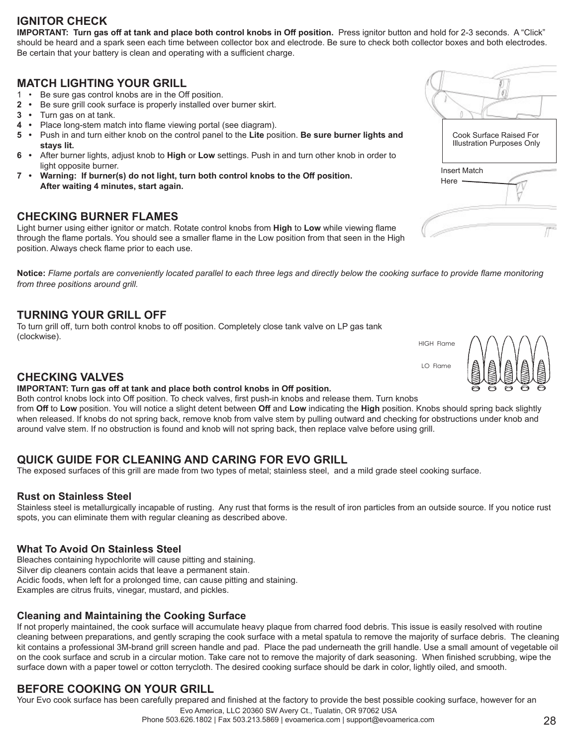## **IGNITOR CHECK**

**IMPORTANT: Turn gas off at tank and place both control knobs in Off position.** Press ignitor button and hold for 2-3 seconds. A "Click" should be heard and a spark seen each time between collector box and electrode. Be sure to check both collector boxes and both electrodes. Be certain that your battery is clean and operating with a sufficient charge.

### **MATCH LIGHTING YOUR GRILL**

- 1 Be sure gas control knobs are in the Off position.
- **2 •** Be sure grill cook surface is properly installed over burner skirt.
- **3 •** Turn gas on at tank.
- **4** Place long-stem match into flame viewing portal (see diagram).
- **5 •** Push in and turn either knob on the control panel to the **Lite** position. **Be sure burner lights and stays lit.**
- **6 •** After burner lights, adjust knob to **High** or **Low** settings. Push in and turn other knob in order to light opposite burner.
- **7 • Warning: If burner(s) do not light, turn both control knobs to the Off position. After waiting 4 minutes, start again.**

### **CHECKING BURNER FLAMES**

Light burner using either ignitor or match. Rotate control knobs from High to Low while viewing flame through the flame portals. You should see a smaller flame in the Low position from that seen in the High position. Always check flame prior to each use.

Notice: Flame portals are conveniently located parallel to each three legs and directly below the cooking surface to provide flame monitoring *from three positions around grill.*

### **TURNING YOUR GRILL OFF**

To turn grill off , turn both control knobs to off position. Completely close tank valve on LP gas tank (clockwise).

### **CHECKING VALVES**

### **IMPORTANT: Turn gas off at tank and place both control knobs in Off position.**

Both control knobs lock into Off position. To check valves, first push-in knobs and release them. Turn knobs from **Off** to **Low** position. You will notice a slight detent between **Off** and **Low** indicating the **High** position. Knobs should spring back slightly when released. If knobs do not spring back, remove knob from valve stem by pulling outward and checking for obstructions under knob and around valve stem. If no obstruction is found and knob will not spring back, then replace valve before using grill.

## **QUICK GUIDE FOR CLEANING AND CARING FOR EVO GRILL**

The exposed surfaces of this grill are made from two types of metal; stainless steel, and a mild grade steel cooking surface.

### **Rust on Stainless Steel**

Stainless steel is metallurgically incapable of rusting. Any rust that forms is the result of iron particles from an outside source. If you notice rust spots, you can eliminate them with regular cleaning as described above.

### **What To Avoid On Stainless Steel**

Bleaches containing hypochlorite will cause pitting and staining. Silver dip cleaners contain acids that leave a permanent stain. Acidic foods, when left for a prolonged time, can cause pitting and staining. Examples are citrus fruits, vinegar, mustard, and pickles.

### **Cleaning and Maintaining the Cooking Surface**

If not properly maintained, the cook surface will accumulate heavy plaque from charred food debris. This issue is easily resolved with routine cleaning between preparations, and gently scraping the cook surface with a metal spatula to remove the majority of surface debris. The cleaning kit contains a professional 3M-brand grill screen handle and pad. Place the pad underneath the grill handle. Use a small amount of vegetable oil on the cook surface and scrub in a circular motion. Take care not to remove the majority of dark seasoning. When finished scrubbing, wipe the surface down with a paper towel or cotton terrycloth. The desired cooking surface should be dark in color, lightly oiled, and smooth.

## **BEFORE COOKING ON YOUR GRILL**

Your Evo cook surface has been carefully prepared and finished at the factory to provide the best possible cooking surface, however for an



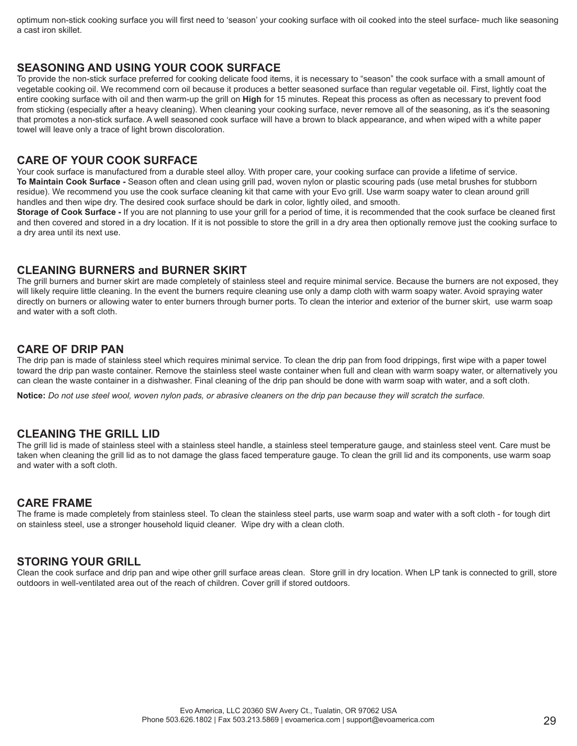optimum non-stick cooking surface you will first need to 'season' your cooking surface with oil cooked into the steel surface- much like seasoning a cast iron skillet.

### **SEASONING AND USING YOUR COOK SURFACE**

To provide the non-stick surface preferred for cooking delicate food items, it is necessary to "season" the cook surface with a small amount of vegetable cooking oil. We recommend corn oil because it produces a better seasoned surface than regular vegetable oil. First, lightly coat the entire cooking surface with oil and then warm-up the grill on **High** for 15 minutes. Repeat this process as often as necessary to prevent food from sticking (especially after a heavy cleaning). When cleaning your cooking surface, never remove all of the seasoning, as it's the seasoning that promotes a non-stick surface. A well seasoned cook surface will have a brown to black appearance, and when wiped with a white paper towel will leave only a trace of light brown discoloration.

### **CARE OF YOUR COOK SURFACE**

Your cook surface is manufactured from a durable steel alloy. With proper care, your cooking surface can provide a lifetime of service. **To Maintain Cook Surface -** Season often and clean using grill pad, woven nylon or plastic scouring pads (use metal brushes for stubborn residue). We recommend you use the cook surface cleaning kit that came with your Evo grill. Use warm soapy water to clean around grill handles and then wipe dry. The desired cook surface should be dark in color, lightly oiled, and smooth.

Storage of Cook Surface - If you are not planning to use your grill for a period of time, it is recommended that the cook surface be cleaned first and then covered and stored in a dry location. If it is not possible to store the grill in a dry area then optionally remove just the cooking surface to a dry area until its next use.

### **CLEANING BURNERS and BURNER SKIRT**

The grill burners and burner skirt are made completely of stainless steel and require minimal service. Because the burners are not exposed, they will likely require little cleaning. In the event the burners require cleaning use only a damp cloth with warm soapy water. Avoid spraying water directly on burners or allowing water to enter burners through burner ports. To clean the interior and exterior of the burner skirt, use warm soap and water with a soft cloth.

### **CARE OF DRIP PAN**

The drip pan is made of stainless steel which requires minimal service. To clean the drip pan from food drippings, first wipe with a paper towel toward the drip pan waste container. Remove the stainless steel waste container when full and clean with warm soapy water, or alternatively you can clean the waste container in a dishwasher. Final cleaning of the drip pan should be done with warm soap with water, and a soft cloth.

**Notice:** *Do not use steel wool, woven nylon pads, or abrasive cleaners on the drip pan because they will scratch the surface.*

### **CLEANING THE GRILL LID**

The grill lid is made of stainless steel with a stainless steel handle, a stainless steel temperature gauge, and stainless steel vent. Care must be taken when cleaning the grill lid as to not damage the glass faced temperature gauge. To clean the grill lid and its components, use warm soap and water with a soft cloth.

### **CARE FRAME**

The frame is made completely from stainless steel. To clean the stainless steel parts, use warm soap and water with a soft cloth - for tough dirt on stainless steel, use a stronger household liquid cleaner. Wipe dry with a clean cloth.

### **STORING YOUR GRILL**

Clean the cook surface and drip pan and wipe other grill surface areas clean. Store grill in dry location. When LP tank is connected to grill, store outdoors in well-ventilated area out of the reach of children. Cover grill if stored outdoors.